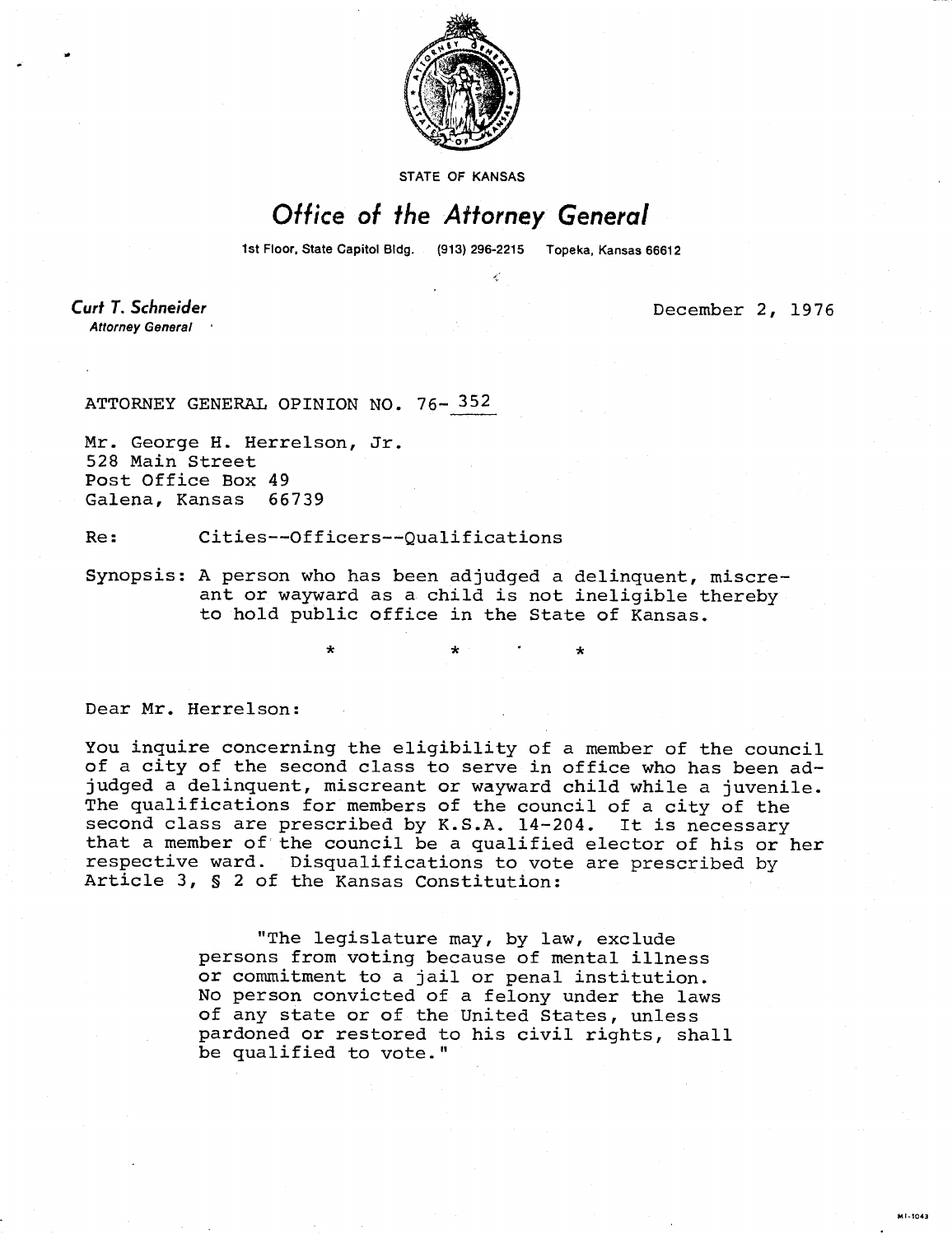

STATE OF KANSAS

## Office of the Attorney General

1st Floor, State Capitol Bldg. (913) 296-2215 Topeka, Kansas 66612

**Curt T. Schneider Attorney General** 

December 2, 1976

## ATTORNEY GENERAL OPINION NO. 76- 352

Mr. George H. Herrelson, Jr. 528 Main Street Post Office Box 49 Galena, Kansas 66739

Re: Cities--Officers--Qualifications

Synopsis: A person who has been adjudged a delinquent, miscreant or wayward as a child is not ineligible thereby to hold public office in the State of Kansas.

Dear Mr. Herrelson:

You inquire concerning the eligibility of a member of the council of a city of the second class to serve in office who has been adjudged a delinquent, miscreant or wayward child while a juvenile. The qualifications for members of the council of a city of the second class are prescribed by K.S.A. 14-204. It is necessary that a member of the council be a qualified elector of his or her respective ward. Disqualifications to vote are prescribed by Article 3, § 2 of the Kansas Constitution:

> "The legislature may, by law, exclude persons from voting because of mental illness or commitment to a jail or penal institution. No person convicted of a felony under the laws of any state or of the United States, unless pardoned or restored to his civil rights, shall be qualified to vote."